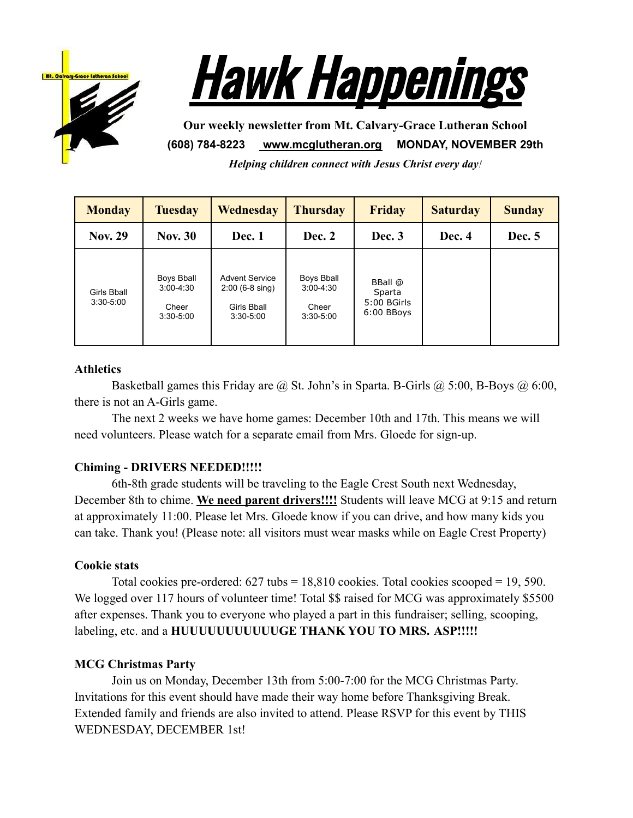



**Our weekly newsletter from Mt. Calvary-Grace Lutheran School (608) 784-8223 [www.mcglutheran.org](http://www.mcglutheran.org/) MONDAY, NOVEMBER 29th** *Helping children connect with Jesus Christ every day!*

**Monday Tuesday Wednesday Thursday Friday Saturday Sunday Nov. 29 Nov. 30 Dec. 1 Dec. 2 Dec. 3 Dec. 4 Dec. 5** Girls Bball 3:30-5:00 Boys Bball 3:00-4:30 **Cheer** 3:30-5:00 Advent Service 2:00 (6-8 sing) Girls Bball 3:30-5:00 Boys Bball 3:00-4:30 **Cheer** 3:30-5:00 BBall @ Sparta 5:00 BGirls 6:00 BBoys

## **Athletics**

Basketball games this Friday are @ St. John's in Sparta. B-Girls @ 5:00, B-Boys @ 6:00, there is not an A-Girls game.

The next 2 weeks we have home games: December 10th and 17th. This means we will need volunteers. Please watch for a separate email from Mrs. Gloede for sign-up.

## **Chiming - DRIVERS NEEDED!!!!!**

6th-8th grade students will be traveling to the Eagle Crest South next Wednesday, December 8th to chime. **We need parent drivers!!!!** Students will leave MCG at 9:15 and return at approximately 11:00. Please let Mrs. Gloede know if you can drive, and how many kids you can take. Thank you! (Please note: all visitors must wear masks while on Eagle Crest Property)

#### **Cookie stats**

Total cookies pre-ordered:  $627$  tubs =  $18,810$  cookies. Total cookies scooped = 19, 590. We logged over 117 hours of volunteer time! Total \$\$ raised for MCG was approximately \$5500 after expenses. Thank you to everyone who played a part in this fundraiser; selling, scooping, labeling, etc. and a **HUUUUUUUUUUUGE THANK YOU TO MRS.** ASP!!!!!

### **MCG Christmas Party**

Join us on Monday, December 13th from 5:00-7:00 for the MCG Christmas Party. Invitations for this event should have made their way home before Thanksgiving Break. Extended family and friends are also invited to attend. Please RSVP for this event by THIS WEDNESDAY, DECEMBER 1st!